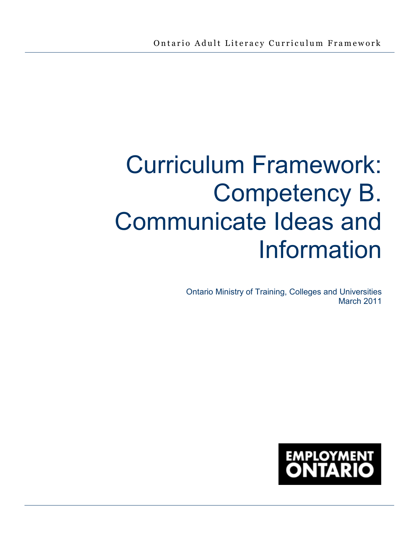# Curriculum Framework: Competency B. Communicate Ideas and Information

Ontario Ministry of Training, Colleges and Universities March 2011

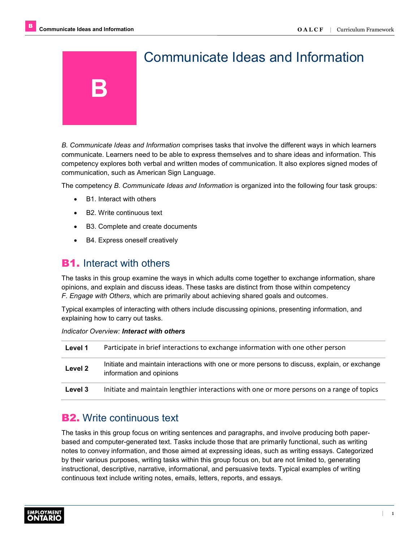

*B. Communicate Ideas and Information* comprises tasks that involve the different ways in which learners communicate. Learners need to be able to express themselves and to share ideas and information. This competency explores both verbal and written modes of communication. It also explores signed modes of communication, such as American Sign Language.

The competency *B. Communicate Ideas and Information* is organized into the following four task groups:

- B1. Interact with others
- B2. Write continuous text
- B3. Complete and create documents
- B4. Express oneself creatively

# **B1.** Interact with others

The tasks in this group examine the ways in which adults come together to exchange information, share opinions, and explain and discuss ideas. These tasks are distinct from those within competency *F. Engage with Others*, which are primarily about achieving shared goals and outcomes.

Typical examples of interacting with others include discussing opinions, presenting information, and explaining how to carry out tasks.

#### *Indicator Overview: Interact with others*

| Level 1 | Participate in brief interactions to exchange information with one other person                                          |
|---------|--------------------------------------------------------------------------------------------------------------------------|
| Level 2 | Initiate and maintain interactions with one or more persons to discuss, explain, or exchange<br>information and opinions |
| Level 3 | Initiate and maintain lengthier interactions with one or more persons on a range of topics                               |

# **B2.** Write continuous text

The tasks in this group focus on writing sentences and paragraphs, and involve producing both paperbased and computer-generated text. Tasks include those that are primarily functional, such as writing notes to convey information, and those aimed at expressing ideas, such as writing essays. Categorized by their various purposes, writing tasks within this group focus on, but are not limited to, generating instructional, descriptive, narrative, informational, and persuasive texts. Typical examples of writing continuous text include writing notes, emails, letters, reports, and essays.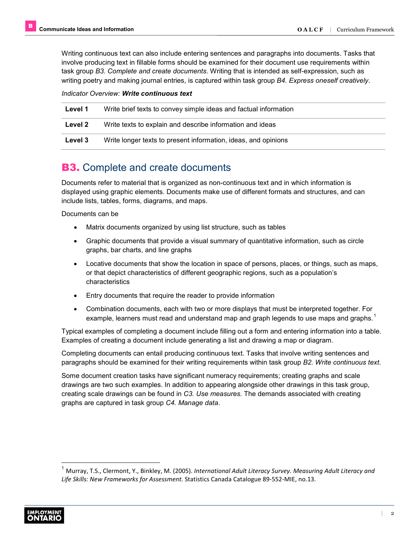Writing continuous text can also include entering sentences and paragraphs into documents. Tasks that involve producing text in fillable forms should be examined for their document use requirements within task group *B3. Complete and create documents.* Writing that is intended as self-expression, such as writing poetry and making journal entries, is captured within task group *B4. Express oneself creatively*.

#### *Indicator Overview: Write continuous text*

| Level 1 | Write brief texts to convey simple ideas and factual information |
|---------|------------------------------------------------------------------|
| Level 2 | Write texts to explain and describe information and ideas        |
| Level 3 | Write longer texts to present information, ideas, and opinions   |

# **B3.** Complete and create documents

Documents refer to material that is organized as non-continuous text and in which information is displayed using graphic elements. Documents make use of different formats and structures, and can include lists, tables, forms, diagrams, and maps.

Documents can be

- Matrix documents organized by using list structure, such as tables
- Graphic documents that provide a visual summary of quantitative information, such as circle graphs, bar charts, and line graphs
- Locative documents that show the location in space of persons, places, or things, such as maps, or that depict characteristics of different geographic regions, such as a population's characteristics
- Entry documents that require the reader to provide information
- Combination documents, each with two or more displays that must be interpreted together. For example, learners must read and understand map and graph legends to use maps and graphs.<sup>1</sup>

Typical examples of completing a document include filling out a form and entering information into a table. Examples of creating a document include generating a list and drawing a map or diagram.

Completing documents can entail producing continuous text. Tasks that involve writing sentences and paragraphs should be examined for their writing requirements within task group *B2. Write continuous text*.

Some document creation tasks have significant numeracy requirements; creating graphs and scale drawings are two such examples. In addition to appearing alongside other drawings in this task group, creating scale drawings can be found in *C3. Use measures.* The demands associated with creating graphs are captured in task group *C4. Manage data*.

<sup>1</sup> Murray, T.S., Clermont, Y., Binkley, M. (2005). *International Adult Literacy Survey. Measuring Adult Literacy and Life Skills: New Frameworks for Assessment.* Statistics Canada Catalogue 89-552-MIE, no.13.

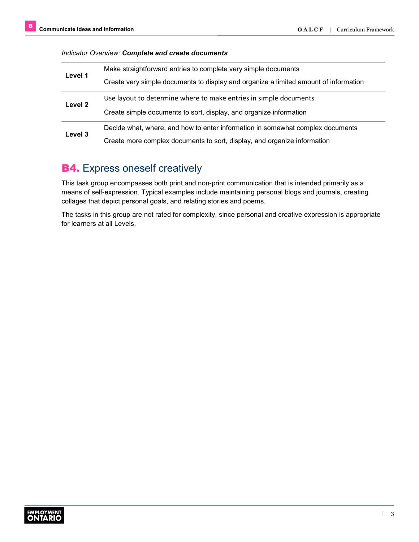#### *Indicator Overview: Complete and create documents*

| Level 1 | Make straightforward entries to complete very simple documents                       |
|---------|--------------------------------------------------------------------------------------|
|         | Create very simple documents to display and organize a limited amount of information |
| Level 2 | Use layout to determine where to make entries in simple documents                    |
|         | Create simple documents to sort, display, and organize information                   |
|         | Decide what, where, and how to enter information in somewhat complex documents       |
| Level 3 | Create more complex documents to sort, display, and organize information             |

# **B4.** Express oneself creatively

This task group encompasses both print and non-print communication that is intended primarily as a means of self-expression. Typical examples include maintaining personal blogs and journals, creating collages that depict personal goals, and relating stories and poems.

The tasks in this group are not rated for complexity, since personal and creative expression is appropriate for learners at all Levels.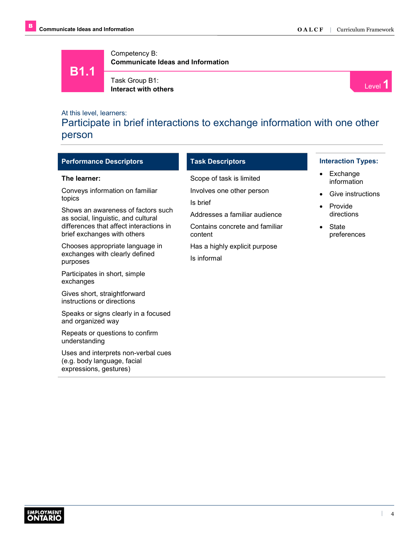**B1.1**

Competency B: **Communicate Ideas and Information**

Task Group B1:

**I** ask Group B1:<br>**Interact with others** Level 1

## At this level, learners:

Participate in brief interactions to exchange information with one other person

| <b>Performance Descriptors</b>                                                               | <b>Task Descriptors</b>                   | <b>Interaction Types:</b>            |
|----------------------------------------------------------------------------------------------|-------------------------------------------|--------------------------------------|
| The learner:                                                                                 | Scope of task is limited                  | Exchange<br>$\bullet$<br>information |
| Conveys information on familiar<br>topics                                                    | Involves one other person<br>Is brief     | Give instructions<br>$\bullet$       |
| Shows an awareness of factors such<br>as social, linguistic, and cultural                    | Addresses a familiar audience             | Provide<br>$\bullet$<br>directions   |
| differences that affect interactions in<br>brief exchanges with others                       | Contains concrete and familiar<br>content | State<br>$\bullet$<br>preferences    |
| Chooses appropriate language in                                                              | Has a highly explicit purpose             |                                      |
| exchanges with clearly defined<br>purposes                                                   | Is informal                               |                                      |
| Participates in short, simple<br>exchanges                                                   |                                           |                                      |
| Gives short, straightforward<br>instructions or directions                                   |                                           |                                      |
| Speaks or signs clearly in a focused<br>and organized way                                    |                                           |                                      |
| Repeats or questions to confirm<br>understanding                                             |                                           |                                      |
| Uses and interprets non-verbal cues<br>(e.g. body language, facial<br>expressions, gestures) |                                           |                                      |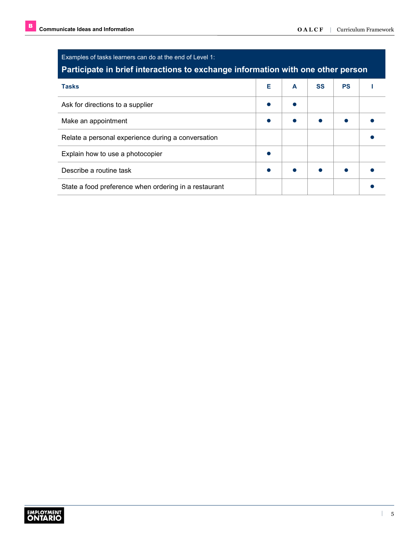| Examples of tasks learners can do at the end of Level 1:<br>Participate in brief interactions to exchange information with one other person |   |   |           |           |  |
|---------------------------------------------------------------------------------------------------------------------------------------------|---|---|-----------|-----------|--|
| <b>Tasks</b>                                                                                                                                | Е | A | <b>SS</b> | <b>PS</b> |  |
| Ask for directions to a supplier                                                                                                            |   |   |           |           |  |
| Make an appointment                                                                                                                         |   |   |           |           |  |
| Relate a personal experience during a conversation                                                                                          |   |   |           |           |  |
| Explain how to use a photocopier                                                                                                            |   |   |           |           |  |
| Describe a routine task                                                                                                                     |   |   |           |           |  |
| State a food preference when ordering in a restaurant                                                                                       |   |   |           |           |  |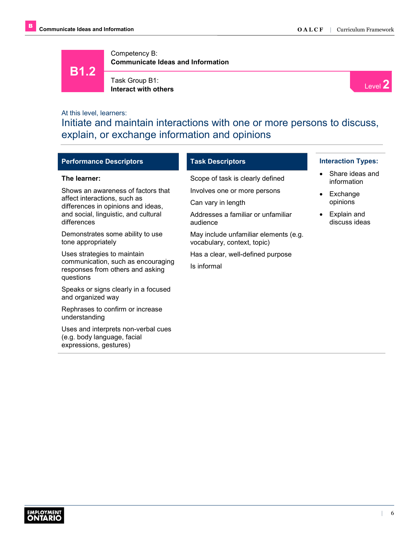

Task Group B1: **I** ask Group B1:<br>**Interact with others** Level 2



## At this level, learners:

Initiate and maintain interactions with one or more persons to discuss, explain, or exchange information and opinions

| <b>Performance Descriptors</b>                                                               | <b>Task Descriptors</b>                                              | <b>Interaction Types:</b>      |
|----------------------------------------------------------------------------------------------|----------------------------------------------------------------------|--------------------------------|
| The learner:                                                                                 | Scope of task is clearly defined                                     | Share ideas and<br>information |
| Shows an awareness of factors that                                                           | Involves one or more persons                                         | Exchange                       |
| affect interactions, such as<br>differences in opinions and ideas,                           | Can vary in length                                                   | opinions                       |
| and social, linguistic, and cultural<br>differences                                          | Addresses a familiar or unfamiliar<br>audience                       | Explain and<br>discuss ideas   |
| Demonstrates some ability to use<br>tone appropriately                                       | May include unfamiliar elements (e.g.<br>vocabulary, context, topic) |                                |
| Uses strategies to maintain                                                                  | Has a clear, well-defined purpose                                    |                                |
| communication, such as encouraging<br>responses from others and asking<br>questions          | Is informal                                                          |                                |
| Speaks or signs clearly in a focused<br>and organized way                                    |                                                                      |                                |
| Rephrases to confirm or increase<br>understanding                                            |                                                                      |                                |
| Uses and interprets non-verbal cues<br>(e.g. body language, facial<br>expressions, gestures) |                                                                      |                                |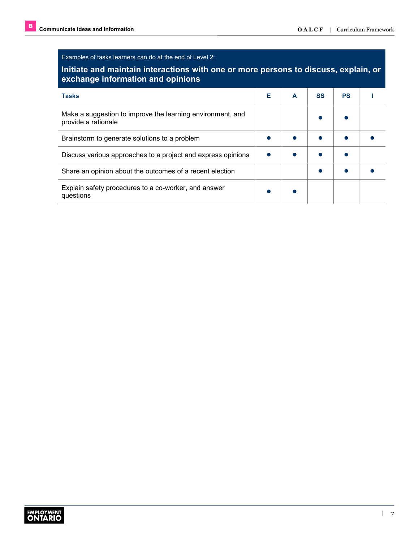Examples of tasks learners can do at the end of Level 2:

## **Initiate and maintain interactions with one or more persons to discuss, explain, or exchange information and opinions**

| $\frac{1}{2}$                                                                     |   |   |           |           |  |
|-----------------------------------------------------------------------------------|---|---|-----------|-----------|--|
| <b>Tasks</b>                                                                      | Е | A | <b>SS</b> | <b>PS</b> |  |
| Make a suggestion to improve the learning environment, and<br>provide a rationale |   |   |           |           |  |
| Brainstorm to generate solutions to a problem                                     |   |   |           |           |  |
| Discuss various approaches to a project and express opinions                      |   |   |           |           |  |
| Share an opinion about the outcomes of a recent election                          |   |   |           |           |  |
| Explain safety procedures to a co-worker, and answer<br>questions                 |   |   |           |           |  |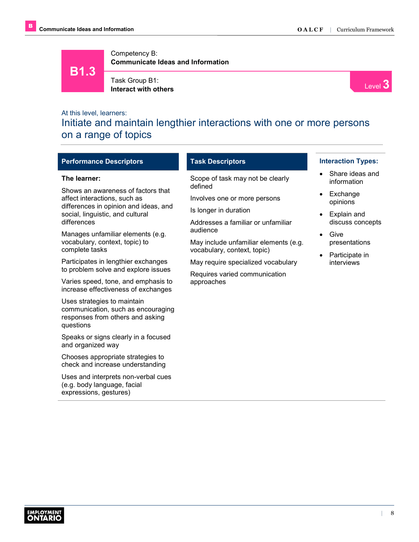**B1.3**

Competency B: **Communicate Ideas and Information**

Task Group B1: **Interact with others**



## At this level, learners:

expressions, gestures)

Initiate and maintain lengthier interactions with one or more persons on a range of topics

| <b>Performance Descriptors</b>                                                                                                                            | <b>Task Descriptors</b>                                                                                                | <b>Interaction Types:</b>                                     |
|-----------------------------------------------------------------------------------------------------------------------------------------------------------|------------------------------------------------------------------------------------------------------------------------|---------------------------------------------------------------|
| The learner:                                                                                                                                              | Scope of task may not be clearly<br>defined                                                                            | Share ideas and<br>information                                |
| Shows an awareness of factors that<br>affect interactions, such as<br>differences in opinion and ideas, and<br>social, linguistic, and cultural           | Involves one or more persons<br>Is longer in duration                                                                  | Exchange<br>$\bullet$<br>opinions<br>Explain and<br>$\bullet$ |
| differences<br>Manages unfamiliar elements (e.g.<br>vocabulary, context, topic) to<br>complete tasks                                                      | Addresses a familiar or unfamiliar<br>audience<br>May include unfamiliar elements (e.g.<br>vocabulary, context, topic) | discuss concepts<br>Give<br>$\bullet$<br>presentations        |
| Participates in lengthier exchanges<br>to problem solve and explore issues<br>Varies speed, tone, and emphasis to                                         | May require specialized vocabulary<br>Requires varied communication<br>approaches                                      | Participate in<br>$\bullet$<br>interviews                     |
| increase effectiveness of exchanges<br>Uses strategies to maintain<br>communication, such as encouraging<br>responses from others and asking<br>questions |                                                                                                                        |                                                               |
| Speaks or signs clearly in a focused<br>and organized way                                                                                                 |                                                                                                                        |                                                               |
| Chooses appropriate strategies to<br>check and increase understanding<br>Uses and interprets non-verbal cues<br>(e.g. body language, facial               |                                                                                                                        |                                                               |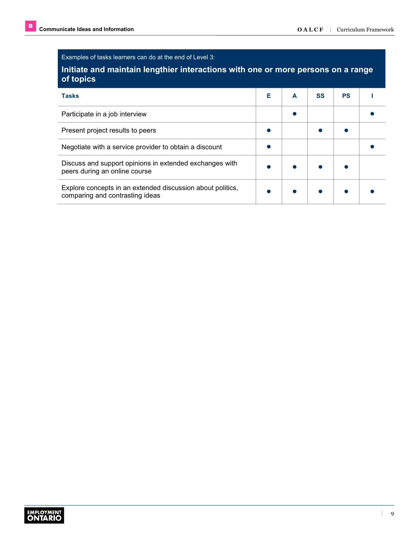Examples of tasks learners can do at the end of Level 3:

## **Initiate and maintain lengthier interactions with one or more persons on a range of topics**

| <b>Tasks</b>                                                                                  | Е | A | <b>SS</b> | <b>PS</b> |  |
|-----------------------------------------------------------------------------------------------|---|---|-----------|-----------|--|
| Participate in a job interview                                                                |   |   |           |           |  |
| Present project results to peers                                                              |   |   |           |           |  |
| Negotiate with a service provider to obtain a discount                                        |   |   |           |           |  |
| Discuss and support opinions in extended exchanges with<br>peers during an online course      |   |   |           |           |  |
| Explore concepts in an extended discussion about politics,<br>comparing and contrasting ideas |   |   |           |           |  |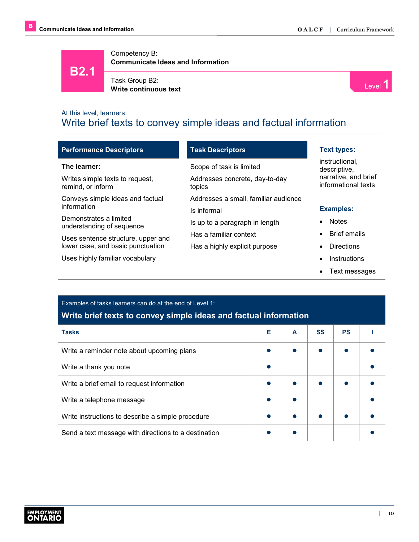**B2.1**

Competency B: **Communicate Ideas and Information**



Task Group B2: **Write continuous text** Level **1** and the continuous text **Level 1** and the continuous text **1** and the continuous text **1** 



## At this level, learners: Write brief texts to convey simple ideas and factual information

| <b>Performance Descriptors</b>                       | <b>Task Descriptors</b>                  | <b>Text types:</b>                          |  |  |
|------------------------------------------------------|------------------------------------------|---------------------------------------------|--|--|
| The learner:                                         | Scope of task is limited                 | instructional,<br>descriptive,              |  |  |
| Writes simple texts to request,<br>remind, or inform | Addresses concrete, day-to-day<br>topics | narrative, and brief<br>informational texts |  |  |
| Conveys simple ideas and factual                     | Addresses a small, familiar audience     |                                             |  |  |
| information                                          | Is informal                              | <b>Examples:</b>                            |  |  |
| Demonstrates a limited<br>understanding of sequence  | Is up to a paragraph in length           | <b>Notes</b>                                |  |  |
| Uses sentence structure, upper and                   | Has a familiar context                   | <b>Brief emails</b>                         |  |  |
| lower case, and basic punctuation                    | Has a highly explicit purpose            | <b>Directions</b>                           |  |  |
| Uses highly familiar vocabulary                      |                                          | Instructions                                |  |  |
|                                                      |                                          | Text messages                               |  |  |

## Examples of tasks learners can do at the end of Level 1: **Write brief texts to convey simple ideas and factual information**

| <b>Tasks</b>                                         | Е | A | <b>SS</b> | <b>PS</b> |  |
|------------------------------------------------------|---|---|-----------|-----------|--|
| Write a reminder note about upcoming plans           |   |   |           |           |  |
| Write a thank you note                               |   |   |           |           |  |
| Write a brief email to request information           |   |   |           |           |  |
| Write a telephone message                            |   |   |           |           |  |
| Write instructions to describe a simple procedure    |   |   |           |           |  |
| Send a text message with directions to a destination |   |   |           |           |  |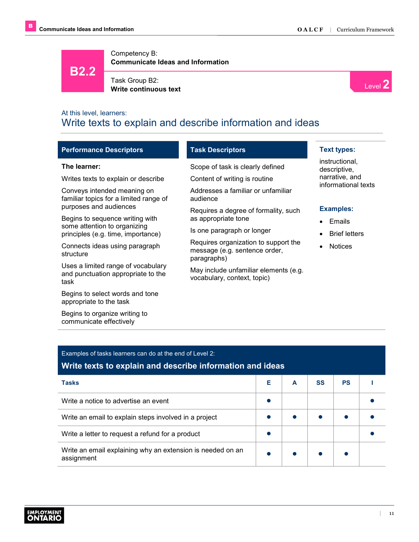**B2.2**

Competency B: **Communicate Ideas and Information**

Task Group B2: **Write continuous text**



# At this level, learners: Write texts to explain and describe information and ideas

| <b>Performance Descriptors</b>                                                   | <b>Task Descriptors</b>                                                              | <b>Text types:</b>                    |
|----------------------------------------------------------------------------------|--------------------------------------------------------------------------------------|---------------------------------------|
| The learner:                                                                     | Scope of task is clearly defined                                                     | instructional.<br>descriptive,        |
| Writes texts to explain or describe                                              | Content of writing is routine                                                        | narrative, and<br>informational texts |
| Conveys intended meaning on<br>familiar topics for a limited range of            | Addresses a familiar or unfamiliar<br>audience                                       |                                       |
| purposes and audiences                                                           | Requires a degree of formality, such                                                 | <b>Examples:</b>                      |
| Begins to sequence writing with<br>some attention to organizing                  | as appropriate tone                                                                  | Emails                                |
| principles (e.g. time, importance)                                               | Is one paragraph or longer                                                           | <b>Brief letters</b>                  |
| Connects ideas using paragraph<br>structure                                      | Requires organization to support the<br>message (e.g. sentence order,<br>paragraphs) | <b>Notices</b>                        |
| Uses a limited range of vocabulary<br>and punctuation appropriate to the<br>task | May include unfamiliar elements (e.g.<br>vocabulary, context, topic)                 |                                       |
| Begins to select words and tone<br>appropriate to the task                       |                                                                                      |                                       |
| Begins to organize writing to<br>communicate effectively                         |                                                                                      |                                       |

| Examples of tasks learners can do at the end of Level 2:<br>Write texts to explain and describe information and ideas |   |   |    |           |  |
|-----------------------------------------------------------------------------------------------------------------------|---|---|----|-----------|--|
| <b>Tasks</b>                                                                                                          | Е | A | SS | <b>PS</b> |  |
| Write a notice to advertise an event                                                                                  |   |   |    |           |  |
| Write an email to explain steps involved in a project                                                                 |   |   |    |           |  |
| Write a letter to request a refund for a product                                                                      |   |   |    |           |  |
| Write an email explaining why an extension is needed on an<br>assignment                                              |   |   |    |           |  |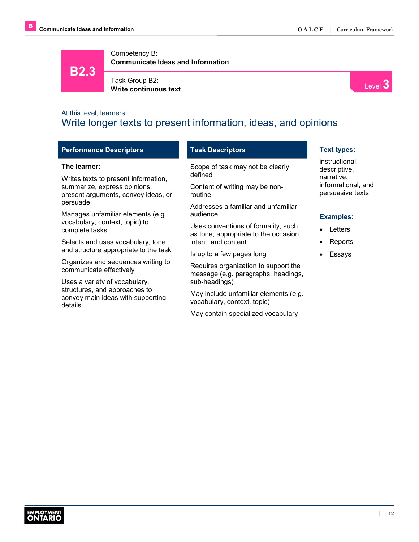**B2.3**

Competency B: **Communicate Ideas and Information**



Task Group B2:

**Write continuous text**



# At this level, learners: Write longer texts to present information, ideas, and opinions

| <b>Performance Descriptors</b>                                                                                                   | <b>Task Descriptors</b>                                                                                  | <b>Text types:</b>                           |
|----------------------------------------------------------------------------------------------------------------------------------|----------------------------------------------------------------------------------------------------------|----------------------------------------------|
| The learner:                                                                                                                     | Scope of task may not be clearly<br>defined                                                              | instructional.<br>descriptive,<br>narrative. |
| Writes texts to present information,<br>summarize, express opinions,<br>present arguments, convey ideas, or                      | Content of writing may be non-<br>routine                                                                | informational, and<br>persuasive texts       |
| persuade<br>Addresses a familiar and unfamiliar<br>Manages unfamiliar elements (e.g.<br>audience                                 |                                                                                                          | <b>Examples:</b>                             |
| vocabulary, context, topic) to<br>Uses conventions of formality, such<br>complete tasks<br>as tone, appropriate to the occasion, |                                                                                                          | Letters                                      |
| intent, and content<br>Selects and uses vocabulary, tone,<br>and structure appropriate to the task                               |                                                                                                          | Reports                                      |
| Organizes and sequences writing to<br>communicate effectively                                                                    | Is up to a few pages long<br>Requires organization to support the<br>message (e.g. paragraphs, headings, | Essays                                       |
| sub-headings)<br>Uses a variety of vocabulary,                                                                                   |                                                                                                          |                                              |
| structures, and approaches to<br>convey main ideas with supporting<br>details                                                    | May include unfamiliar elements (e.g.<br>vocabulary, context, topic)                                     |                                              |

May contain specialized vocabulary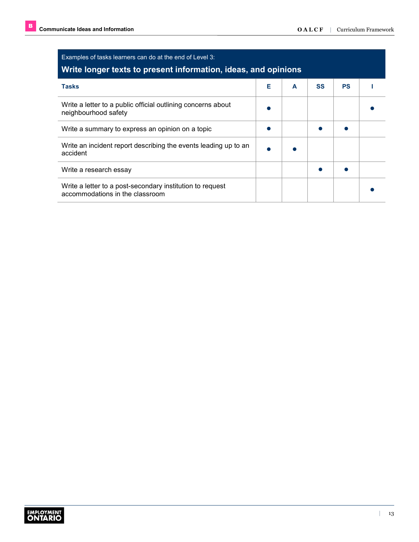| Examples of tasks learners can do at the end of Level 3:<br>Write longer texts to present information, ideas, and opinions |   |   |           |           |  |  |
|----------------------------------------------------------------------------------------------------------------------------|---|---|-----------|-----------|--|--|
| <b>Tasks</b>                                                                                                               | Е | A | <b>SS</b> | <b>PS</b> |  |  |
| Write a letter to a public official outlining concerns about<br>neighbourhood safety                                       |   |   |           |           |  |  |
| Write a summary to express an opinion on a topic                                                                           |   |   |           |           |  |  |
| Write an incident report describing the events leading up to an<br>accident                                                |   |   |           |           |  |  |
| Write a research essay                                                                                                     |   |   |           |           |  |  |
| Write a letter to a post-secondary institution to request<br>accommodations in the classroom                               |   |   |           |           |  |  |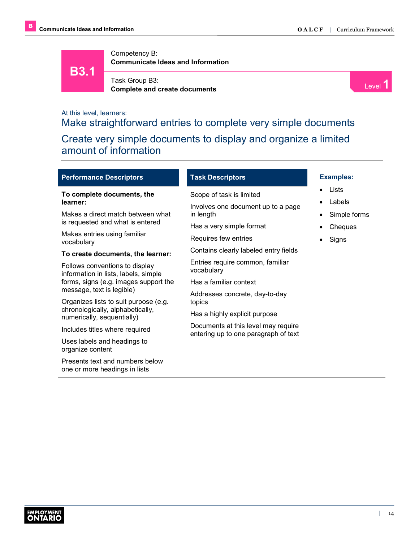



Task Group B3: **Complete and create documents** Level **1 Complete and create documents** 



# At this level, learners: Make straightforward entries to complete very simple documents Create very simple documents to display and organize a limited amount of information

|  | <b>Performance Descriptors</b> |
|--|--------------------------------|
|  |                                |

#### **To complete documents, the learner:**

Makes a direct match between what is requested and what is entered

Makes entries using familiar vocabulary

#### **To create documents, the learner:**

Follows conventions to display information in lists, labels, simple forms, signs (e.g. images support the message, text is legible)

Organizes lists to suit purpose (e.g. chronologically, alphabetically, numerically, sequentially)

Includes titles where required

Uses labels and headings to organize content

Presents text and numbers below one or more headings in lists

#### **Task Descriptors**

Scope of task is limited

Involves one document up to a page in length

Has a very simple format

Requires few entries

Contains clearly labeled entry fields

Entries require common, familiar vocabulary

Has a familiar context

Addresses concrete, day-to-day topics

Has a highly explicit purpose

Documents at this level may require entering up to one paragraph of text

## **Examples:**

- Lists
- Labels
- Simple forms
- Cheques
- **Signs**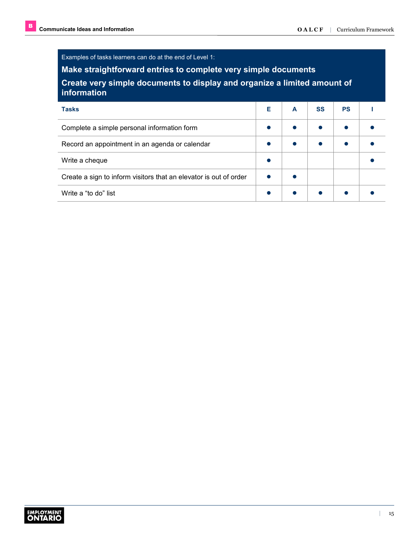Examples of tasks learners can do at the end of Level 1:

**Make straightforward entries to complete very simple documents**

**Create very simple documents to display and organize a limited amount of information**

| <b>Tasks</b>                                                      | Е | A | <b>SS</b> | <b>PS</b> |  |
|-------------------------------------------------------------------|---|---|-----------|-----------|--|
| Complete a simple personal information form                       |   |   |           |           |  |
| Record an appointment in an agenda or calendar                    |   |   |           |           |  |
| Write a cheque                                                    |   |   |           |           |  |
| Create a sign to inform visitors that an elevator is out of order |   |   |           |           |  |
| Write a "to do" list                                              |   |   |           |           |  |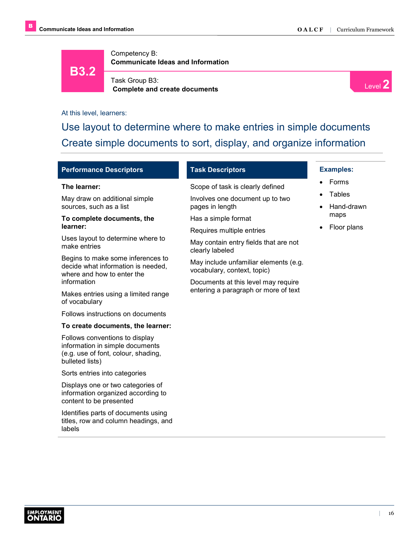

Task Group B3: **Complete and create documents**



At this level, learners:

Use layout to determine where to make entries in simple documents Create simple documents to sort, display, and organize information

| <b>Performance Descriptors</b> |
|--------------------------------|
|--------------------------------|

#### **The learner:**

May draw on additional simple sources, such as a list

#### **To complete documents, the learner:**

Uses layout to determine where to make entries

Begins to make some inferences to decide what information is needed, where and how to enter the information

Makes entries using a limited range of vocabulary

Follows instructions on documents

#### **To create documents, the learner:**

Follows conventions to display information in simple documents (e.g. use of font, colour, shading, bulleted lists)

Sorts entries into categories

Displays one or two categories of information organized according to content to be presented

Identifies parts of documents using titles, row and column headings, and labels

#### **Task Descriptors**

Scope of task is clearly defined

Involves one document up to two pages in length

Has a simple format

Requires multiple entries

May contain entry fields that are not clearly labeled

May include unfamiliar elements (e.g. vocabulary, context, topic)

Documents at this level may require entering a paragraph or more of text

#### **Examples:**

- Forms
- **Tables**
- Hand-drawn maps
- Floor plans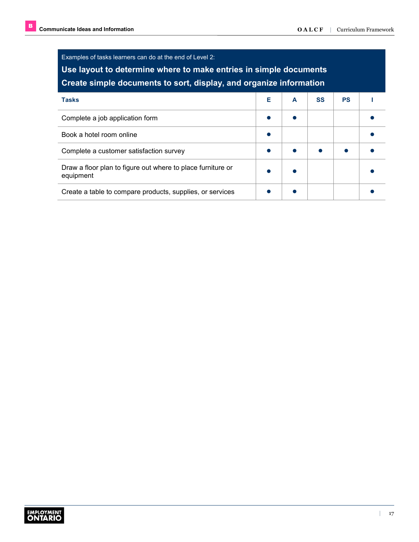| Examples of tasks learners can do at the end of Level 2:<br>Use layout to determine where to make entries in simple documents<br>Create simple documents to sort, display, and organize information |   |   |           |           |  |  |
|-----------------------------------------------------------------------------------------------------------------------------------------------------------------------------------------------------|---|---|-----------|-----------|--|--|
| <b>Tasks</b>                                                                                                                                                                                        | Е | A | <b>SS</b> | <b>PS</b> |  |  |
| Complete a job application form                                                                                                                                                                     |   |   |           |           |  |  |
| Book a hotel room online                                                                                                                                                                            |   |   |           |           |  |  |
| Complete a customer satisfaction survey                                                                                                                                                             |   |   |           |           |  |  |
| Draw a floor plan to figure out where to place furniture or<br>equipment                                                                                                                            |   |   |           |           |  |  |
| Create a table to compare products, supplies, or services                                                                                                                                           |   |   |           |           |  |  |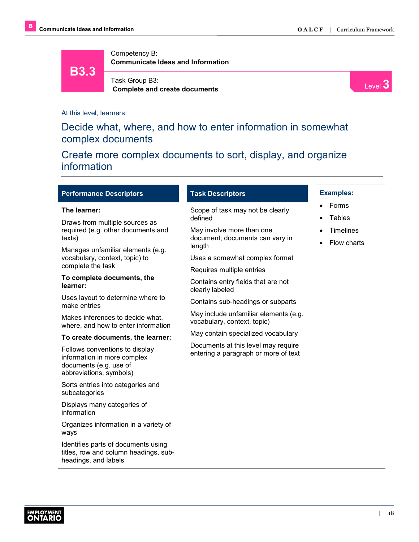



Level **3**

At this level, learners:

# Decide what, where, and how to enter information in somewhat complex documents

# Create more complex documents to sort, display, and organize information

#### **Performance Descriptors**

#### **The learner:**

Draws from multiple sources as required (e.g. other documents and texts)

Manages unfamiliar elements (e.g. vocabulary, context, topic) to complete the task

#### **To complete documents, the learner:**

Uses layout to determine where to make entries

Makes inferences to decide what, where, and how to enter information

#### **To create documents, the learner:**

Follows conventions to display information in more complex documents (e.g. use of abbreviations, symbols)

Sorts entries into categories and subcategories

Displays many categories of information

Organizes information in a variety of ways

Identifies parts of documents using titles, row and column headings, subheadings, and labels

#### **Task Descriptors**

Scope of task may not be clearly defined

May involve more than one document; documents can vary in length

Uses a somewhat complex format

Requires multiple entries

Contains entry fields that are not clearly labeled

Contains sub-headings or subparts

May include unfamiliar elements (e.g. vocabulary, context, topic)

May contain specialized vocabulary

Documents at this level may require entering a paragraph or more of text

#### **Examples:**

- Forms
- **Tables**
- **Timelines**
- Flow charts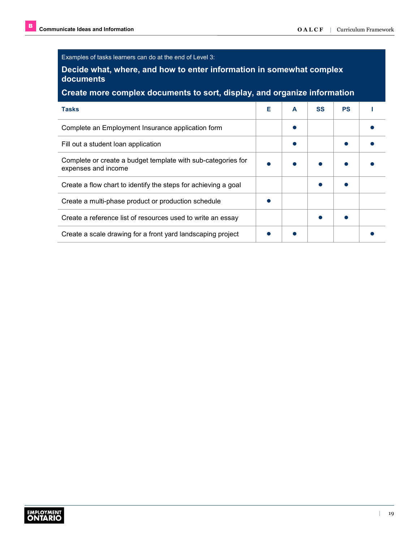Examples of tasks learners can do at the end of Level 3:

## **Decide what, where, and how to enter information in somewhat complex documents**

## **Create more complex documents to sort, display, and organize information**

| <b>Tasks</b>                                                                        | Е | A | <b>SS</b> | <b>PS</b> |  |
|-------------------------------------------------------------------------------------|---|---|-----------|-----------|--|
| Complete an Employment Insurance application form                                   |   |   |           |           |  |
| Fill out a student loan application                                                 |   |   |           |           |  |
| Complete or create a budget template with sub-categories for<br>expenses and income |   |   |           |           |  |
| Create a flow chart to identify the steps for achieving a goal                      |   |   |           |           |  |
| Create a multi-phase product or production schedule                                 |   |   |           |           |  |
| Create a reference list of resources used to write an essay                         |   |   |           |           |  |
| Create a scale drawing for a front yard landscaping project                         |   |   |           |           |  |